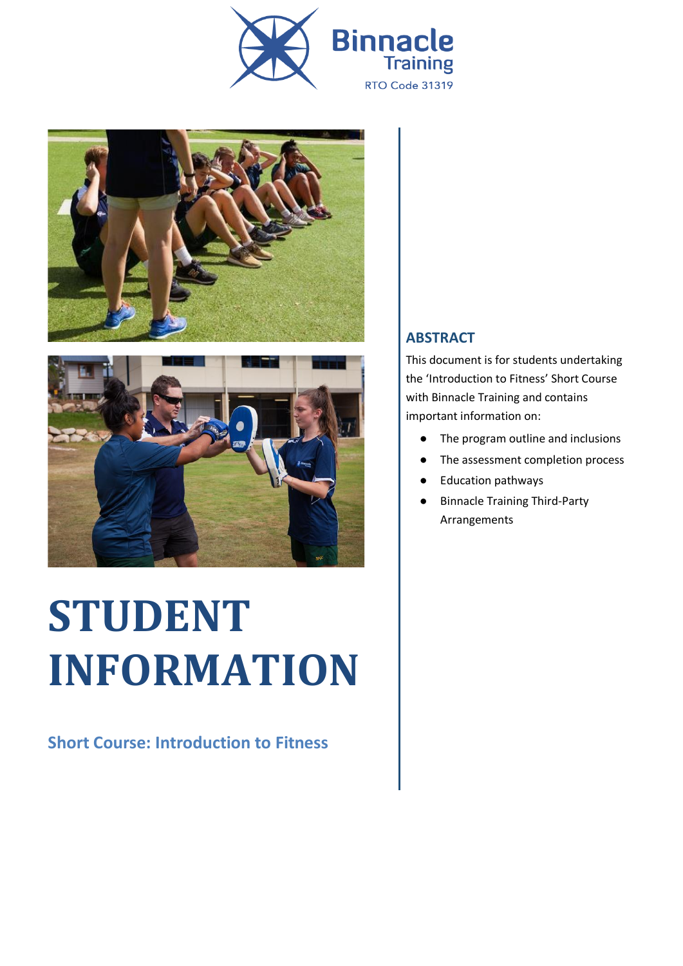





# **STUDENT INFORMATION**

**Short Course: Introduction to Fitness**

#### **ABSTRACT**

This document is for students undertaking the 'Introduction to Fitness' Short Course with Binnacle Training and contains important information on:

- The program outline and inclusions
- The assessment completion process
- **Education pathways**
- **Binnacle Training Third-Party** Arrangements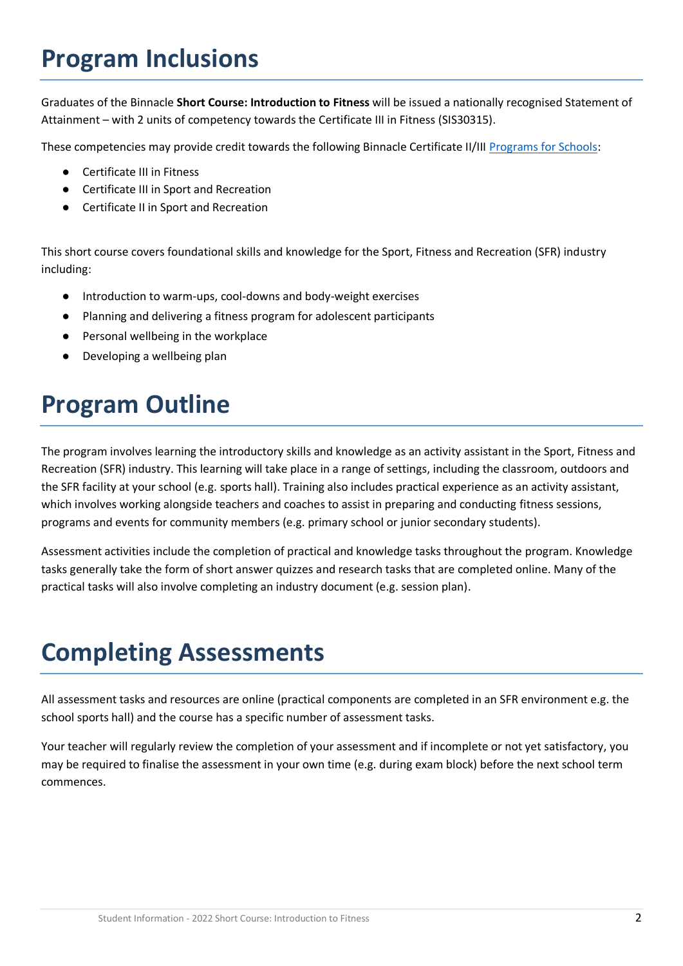# **Program Inclusions**

Graduates of the Binnacle **Short Course: Introduction to Fitness** will be issued a nationally recognised Statement of Attainment – with 2 units of competency towards the Certificate III in Fitness (SIS30315).

These competencies may provide credit towards the following Binnacle Certificate II/III [Programs for Schools:](https://www.binnacletraining.com.au/for-schools/programs/)

- Certificate III in Fitness
- Certificate III in Sport and Recreation
- **Certificate II in Sport and Recreation**

This short course covers foundational skills and knowledge for the Sport, Fitness and Recreation (SFR) industry including:

- Introduction to warm-ups, cool-downs and body-weight exercises
- Planning and delivering a fitness program for adolescent participants
- Personal wellbeing in the workplace
- Developing a wellbeing plan

# **Program Outline**

The program involves learning the introductory skills and knowledge as an activity assistant in the Sport, Fitness and Recreation (SFR) industry. This learning will take place in a range of settings, including the classroom, outdoors and the SFR facility at your school (e.g. sports hall). Training also includes practical experience as an activity assistant, which involves working alongside teachers and coaches to assist in preparing and conducting fitness sessions, programs and events for community members (e.g. primary school or junior secondary students).

Assessment activities include the completion of practical and knowledge tasks throughout the program. Knowledge tasks generally take the form of short answer quizzes and research tasks that are completed online. Many of the practical tasks will also involve completing an industry document (e.g. session plan).

# **Completing Assessments**

All assessment tasks and resources are online (practical components are completed in an SFR environment e.g. the school sports hall) and the course has a specific number of assessment tasks.

Your teacher will regularly review the completion of your assessment and if incomplete or not yet satisfactory, you may be required to finalise the assessment in your own time (e.g. during exam block) before the next school term commences.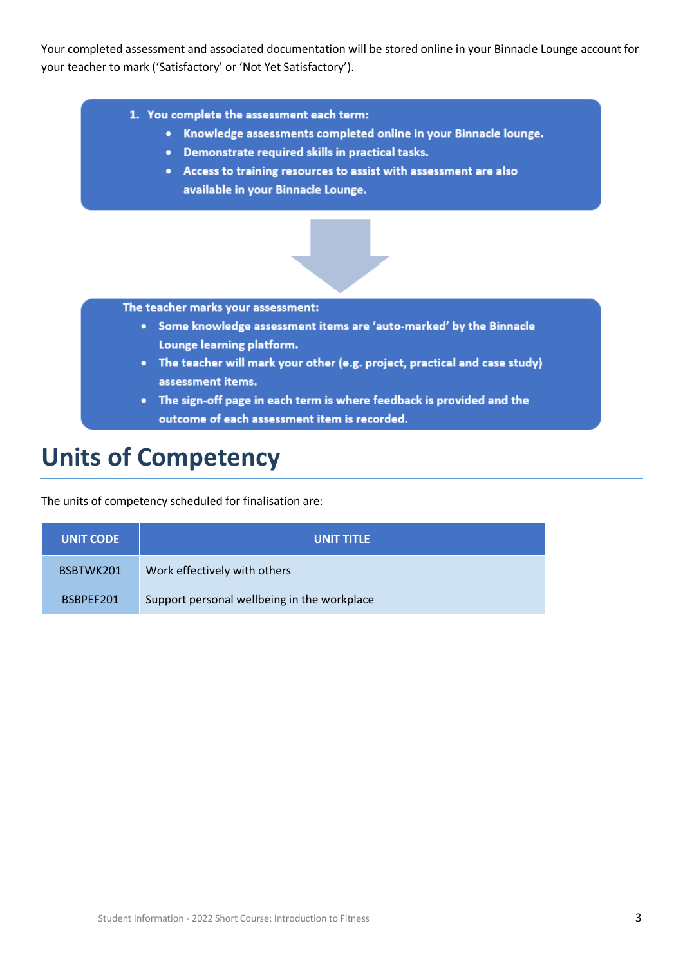Your completed assessment and associated documentation will be stored online in your Binnacle Lounge account for your teacher to mark ('Satisfactory' or 'Not Yet Satisfactory').

- 1. You complete the assessment each term:
	- Knowledge assessments completed online in your Binnacle lounge.
	- Demonstrate required skills in practical tasks.
	- Access to training resources to assist with assessment are also available in your Binnacle Lounge.



The teacher marks your assessment:

- Some knowledge assessment items are 'auto-marked' by the Binnacle Lounge learning platform.
- The teacher will mark your other (e.g. project, practical and case study) assessment items.
- The sign-off page in each term is where feedback is provided and the outcome of each assessment item is recorded.

### **Units of Competency**

The units of competency scheduled for finalisation are:

| <b>UNIT CODE</b> | <b>UNIT TITLE</b>                           |
|------------------|---------------------------------------------|
| BSBTWK201        | Work effectively with others                |
| BSBPEF201        | Support personal wellbeing in the workplace |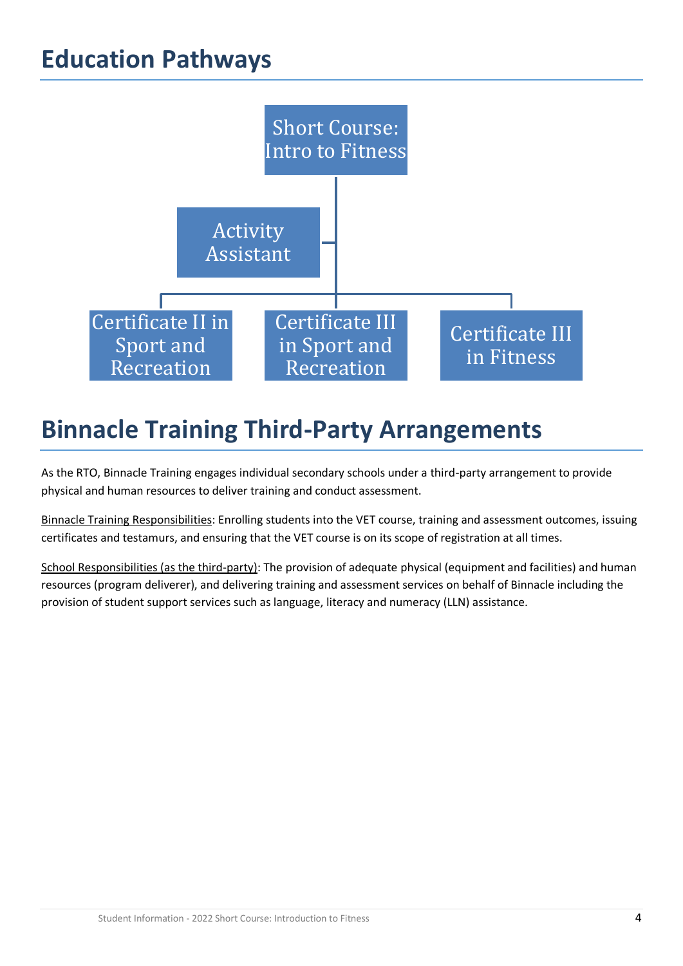# **Education Pathways**



# **Binnacle Training Third-Party Arrangements**

As the RTO, Binnacle Training engages individual secondary schools under a third-party arrangement to provide physical and human resources to deliver training and conduct assessment.

Binnacle Training Responsibilities: Enrolling students into the VET course, training and assessment outcomes, issuing certificates and testamurs, and ensuring that the VET course is on its scope of registration at all times.

School Responsibilities (as the third-party): The provision of adequate physical (equipment and facilities) and human resources (program deliverer), and delivering training and assessment services on behalf of Binnacle including the provision of student support services such as language, literacy and numeracy (LLN) assistance.